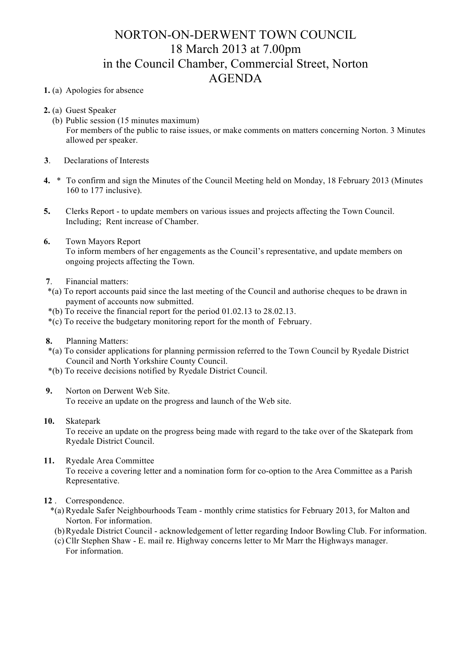## NORTON-ON-DERWENT TOWN COUNCIL 18 March 2013 at 7.00pm in the Council Chamber, Commercial Street, Norton AGENDA

## **1.** (a) Apologies for absence

- **2.** (a) Guest Speaker
	- (b) Public session (15 minutes maximum) For members of the public to raise issues, or make comments on matters concerning Norton. 3 Minutes allowed per speaker.
- **3**. Declarations of Interests
- **4.** \* To confirm and sign the Minutes of the Council Meeting held on Monday, 18 February 2013 (Minutes 160 to 177 inclusive).
- **5.** Clerks Report to update members on various issues and projects affecting the Town Council. Including; Rent increase of Chamber.
- **6.** Town Mayors Report To inform members of her engagements as the Council's representative, and update members on ongoing projects affecting the Town.
- **7**. Financial matters:
- \*(a) To report accounts paid since the last meeting of the Council and authorise cheques to be drawn in payment of accounts now submitted.
- \*(b) To receive the financial report for the period 01.02.13 to 28.02.13.
- \*(c) To receive the budgetary monitoring report for the month of February.
- **8.** Planning Matters:
- \*(a) To consider applications for planning permission referred to the Town Council by Ryedale District Council and North Yorkshire County Council.
- \*(b) To receive decisions notified by Ryedale District Council.
- **9.** Norton on Derwent Web Site.

To receive an update on the progress and launch of the Web site.

**10.** Skatepark

To receive an update on the progress being made with regard to the take over of the Skatepark from Ryedale District Council.

**11.** Ryedale Area Committee

To receive a covering letter and a nomination form for co-option to the Area Committee as a Parish Representative.

- **12** . Correspondence.
	- \*(a) Ryedale Safer Neighbourhoods Team monthly crime statistics for February 2013, for Malton and Norton. For information.
	- (b)Ryedale District Council acknowledgement of letter regarding Indoor Bowling Club. For information.
	- (c) Cllr Stephen Shaw E. mail re. Highway concerns letter to Mr Marr the Highways manager. For information.